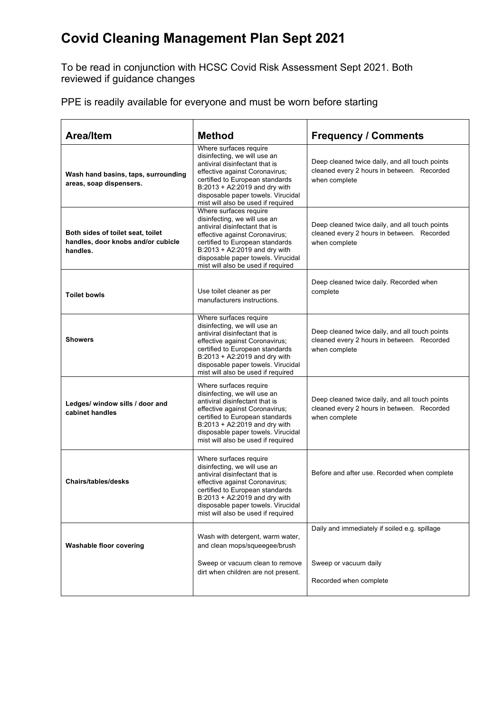## **Covid Cleaning Management Plan Sept 2021**

To be read in conjunction with HCSC Covid Risk Assessment Sept 2021. Both reviewed if guidance changes

PPE is readily available for everyone and must be worn before starting

| <b>Area/Item</b>                                                                    | <b>Method</b>                                                                                                                                                                                                                                                              | <b>Frequency / Comments</b>                                                                                   |
|-------------------------------------------------------------------------------------|----------------------------------------------------------------------------------------------------------------------------------------------------------------------------------------------------------------------------------------------------------------------------|---------------------------------------------------------------------------------------------------------------|
| Wash hand basins, taps, surrounding<br>areas, soap dispensers.                      | Where surfaces require<br>disinfecting, we will use an<br>antiviral disinfectant that is<br>effective against Coronavirus;<br>certified to European standards<br>B:2013 + A2:2019 and dry with<br>disposable paper towels. Virucidal<br>mist will also be used if required | Deep cleaned twice daily, and all touch points<br>cleaned every 2 hours in between. Recorded<br>when complete |
| Both sides of toilet seat, toilet<br>handles, door knobs and/or cubicle<br>handles. | Where surfaces require<br>disinfecting, we will use an<br>antiviral disinfectant that is<br>effective against Coronavirus;<br>certified to European standards<br>B:2013 + A2:2019 and dry with<br>disposable paper towels. Virucidal<br>mist will also be used if required | Deep cleaned twice daily, and all touch points<br>cleaned every 2 hours in between. Recorded<br>when complete |
| <b>Toilet bowls</b>                                                                 | Use toilet cleaner as per<br>manufacturers instructions.                                                                                                                                                                                                                   | Deep cleaned twice daily. Recorded when<br>complete                                                           |
| <b>Showers</b>                                                                      | Where surfaces require<br>disinfecting, we will use an<br>antiviral disinfectant that is<br>effective against Coronavirus;<br>certified to European standards<br>B:2013 + A2:2019 and dry with<br>disposable paper towels. Virucidal<br>mist will also be used if required | Deep cleaned twice daily, and all touch points<br>cleaned every 2 hours in between. Recorded<br>when complete |
| Ledges/ window sills / door and<br>cabinet handles                                  | Where surfaces require<br>disinfecting, we will use an<br>antiviral disinfectant that is<br>effective against Coronavirus;<br>certified to European standards<br>B:2013 + A2:2019 and dry with<br>disposable paper towels. Virucidal<br>mist will also be used if required | Deep cleaned twice daily, and all touch points<br>cleaned every 2 hours in between. Recorded<br>when complete |
| <b>Chairs/tables/desks</b>                                                          | Where surfaces require<br>disinfecting, we will use an<br>antiviral disinfectant that is<br>effective against Coronavirus;<br>certified to European standards<br>B:2013 + A2:2019 and dry with<br>disposable paper towels. Virucidal<br>mist will also be used if required | Before and after use. Recorded when complete                                                                  |
| <b>Washable floor covering</b>                                                      | Wash with detergent, warm water,<br>and clean mops/squeegee/brush                                                                                                                                                                                                          | Daily and immediately if soiled e.g. spillage                                                                 |
|                                                                                     | Sweep or vacuum clean to remove<br>dirt when children are not present.                                                                                                                                                                                                     | Sweep or vacuum daily<br>Recorded when complete                                                               |